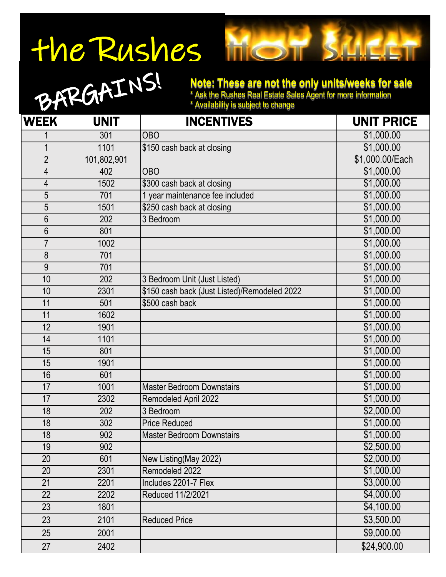## The Rushes



## **Note: These are not the only units/weeks for sale**

\* Ask the Rushes Real Estate Sales Agent for more information

\* Availability is subject to change

| <b>WEEK</b>     | <b>UNIT</b> | <b>INCENTIVES</b>                            | <b>UNIT PRICE</b> |
|-----------------|-------------|----------------------------------------------|-------------------|
|                 | 301         | <b>OBO</b>                                   | \$1,000.00        |
| 1               | 1101        | \$150 cash back at closing                   | \$1,000.00        |
| $\overline{2}$  | 101,802,901 |                                              | \$1,000.00/Each   |
| 4               | 402         | <b>OBO</b>                                   | \$1,000.00        |
| 4               | 1502        | \$300 cash back at closing                   | \$1,000.00        |
| 5               | 701         | 1 year maintenance fee included              | \$1,000.00        |
| 5               | 1501        | \$250 cash back at closing                   | \$1,000.00        |
| 6               | 202         | 3 Bedroom                                    | \$1,000.00        |
| 6               | 801         |                                              | \$1,000.00        |
| $\overline{7}$  | 1002        |                                              | \$1,000.00        |
| 8               | 701         |                                              | \$1,000.00        |
| 9               | 701         |                                              | \$1,000.00        |
| 10              | 202         | 3 Bedroom Unit (Just Listed)                 | \$1,000.00        |
| 10              | 2301        | \$150 cash back (Just Listed)/Remodeled 2022 | \$1,000.00        |
| 11              | 501         | \$500 cash back                              | \$1,000.00        |
| 11              | 1602        |                                              | \$1,000.00        |
| 12              | 1901        |                                              | \$1,000.00        |
| 14              | 1101        |                                              | \$1,000.00        |
| 15              | 801         |                                              | \$1,000.00        |
| 15              | 1901        |                                              | \$1,000.00        |
| 16              | 601         |                                              | \$1,000.00        |
| 17              | 1001        | <b>Master Bedroom Downstairs</b>             | \$1,000.00        |
| 17              | 2302        | Remodeled April 2022                         | \$1,000.00        |
| 18              | 202         | 3 Bedroom                                    | \$2,000.00        |
| 18              | 302         | <b>Price Reduced</b>                         | \$1,000.00        |
| 18              | 902         | <b>Master Bedroom Downstairs</b>             | \$1,000.00        |
| 19              | 902         |                                              | \$2,500.00        |
| 20              | 601         | New Listing(May 2022)                        | \$2,000.00        |
| 20              | 2301        | Remodeled 2022                               | \$1,000.00        |
| $\overline{21}$ | 2201        | Includes 2201-7 Flex                         | \$3,000.00        |
| $\overline{22}$ | 2202        | Reduced 11/2/2021                            | \$4,000.00        |
| 23              | 1801        |                                              | \$4,100.00        |
| 23              | 2101        | <b>Reduced Price</b>                         | \$3,500.00        |
| 25              | 2001        |                                              | \$9,000.00        |
| 27              | 2402        |                                              | \$24,900.00       |